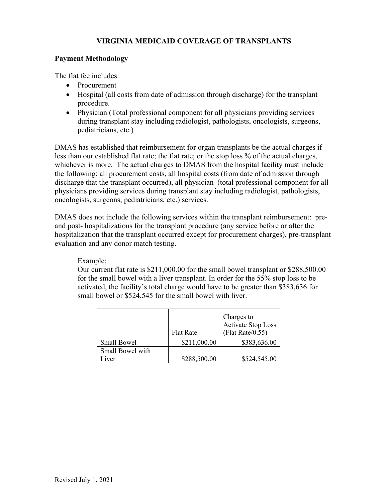#### **VIRGINIA MEDICAID COVERAGE OF TRANSPLANTS**

#### **Payment Methodology**

The flat fee includes:

- Procurement
- Hospital (all costs from date of admission through discharge) for the transplant procedure.
- Physician (Total professional component for all physicians providing services during transplant stay including radiologist, pathologists, oncologists, surgeons, pediatricians, etc.)

DMAS has established that reimbursement for organ transplants be the actual charges if less than our established flat rate; the flat rate; or the stop loss % of the actual charges, whichever is more. The actual charges to DMAS from the hospital facility must include the following: all procurement costs, all hospital costs (from date of admission through discharge that the transplant occurred), all physician (total professional component for all physicians providing services during transplant stay including radiologist, pathologists, oncologists, surgeons, pediatricians, etc.) services.

DMAS does not include the following services within the transplant reimbursement: preand post- hospitalizations for the transplant procedure (any service before or after the hospitalization that the transplant occurred except for procurement charges), pre-transplant evaluation and any donor match testing.

Example:

Our current flat rate is \$211,000.00 for the small bowel transplant or \$288,500.00 for the small bowel with a liver transplant. In order for the 55% stop loss to be activated, the facility's total charge would have to be greater than \$383,636 for small bowel or \$524,545 for the small bowel with liver.

|                    |                  | Charges to<br>Activate Stop Loss |
|--------------------|------------------|----------------------------------|
|                    | <b>Flat Rate</b> | (Flat Rate/ $0.55$ )             |
| <b>Small Bowel</b> | \$211,000.00     | \$383,636.00                     |
| Small Bowel with   |                  |                                  |
| iver               | \$288,500.00     | \$524,545.00                     |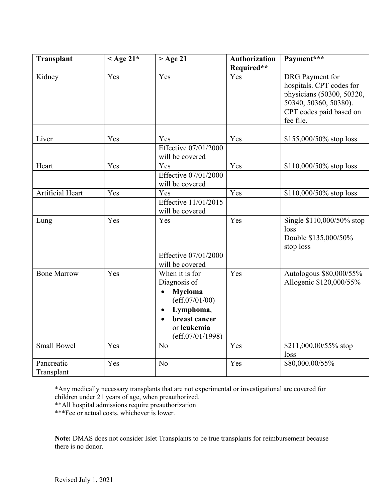| Transplant               | < Age $21^*$ | $>$ Age 21                                                                                                                          | <b>Authorization</b><br>Required** | Payment***                                                                                                                                       |
|--------------------------|--------------|-------------------------------------------------------------------------------------------------------------------------------------|------------------------------------|--------------------------------------------------------------------------------------------------------------------------------------------------|
| Kidney                   | Yes          | Yes                                                                                                                                 | Yes                                | <b>DRG</b> Payment for<br>hospitals. CPT codes for<br>physicians (50300, 50320,<br>50340, 50360, 50380).<br>CPT codes paid based on<br>fee file. |
|                          |              |                                                                                                                                     |                                    |                                                                                                                                                  |
| Liver                    | Yes          | Yes                                                                                                                                 | Yes                                | $$155,000/50\%$ stop loss                                                                                                                        |
|                          |              | Effective 07/01/2000<br>will be covered                                                                                             |                                    |                                                                                                                                                  |
| Heart                    | Yes          | Yes                                                                                                                                 | Yes                                | $$110,000/50\%$ stop loss                                                                                                                        |
|                          |              | Effective 07/01/2000<br>will be covered                                                                                             |                                    |                                                                                                                                                  |
| Artificial Heart         | Yes          | Yes                                                                                                                                 | Yes                                | $$110,000/50\%$ stop loss                                                                                                                        |
|                          |              | Effective 11/01/2015<br>will be covered                                                                                             |                                    |                                                                                                                                                  |
| Lung                     | Yes          | Yes                                                                                                                                 | Yes                                | Single \$110,000/50% stop<br>loss<br>Double \$135,000/50%<br>stop loss                                                                           |
|                          |              | Effective 07/01/2000<br>will be covered                                                                                             |                                    |                                                                                                                                                  |
| <b>Bone Marrow</b>       | Yes          | When it is for<br>Diagnosis of<br><b>Myeloma</b><br>(eff.07/01/00)<br>Lymphoma,<br>breast cancer<br>or leukemia<br>(eff.07/01/1998) | Yes                                | Autologous \$80,000/55%<br>Allogenic \$120,000/55%                                                                                               |
| <b>Small Bowel</b>       | Yes          | N <sub>o</sub>                                                                                                                      | Yes                                | \$211,000.00/55% stop<br>loss                                                                                                                    |
| Pancreatic<br>Transplant | Yes          | N <sub>o</sub>                                                                                                                      | Yes                                | \$80,000.00/55%                                                                                                                                  |

\*Any medically necessary transplants that are not experimental or investigational are covered for children under 21 years of age, when preauthorized.

\*\*All hospital admissions require preauthorization

\*\*\*Fee or actual costs, whichever is lower.

**Note:** DMAS does not consider Islet Transplants to be true transplants for reimbursement because there is no donor.